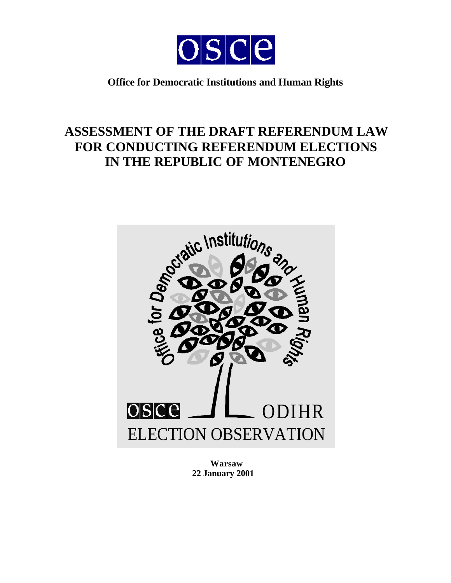

# **Office for Democratic Institutions and Human Rights**

# **ASSESSMENT OF THE DRAFT REFERENDUM LAW FOR CONDUCTING REFERENDUM ELECTIONS IN THE REPUBLIC OF MONTENEGRO**



**Warsaw 22 January 2001**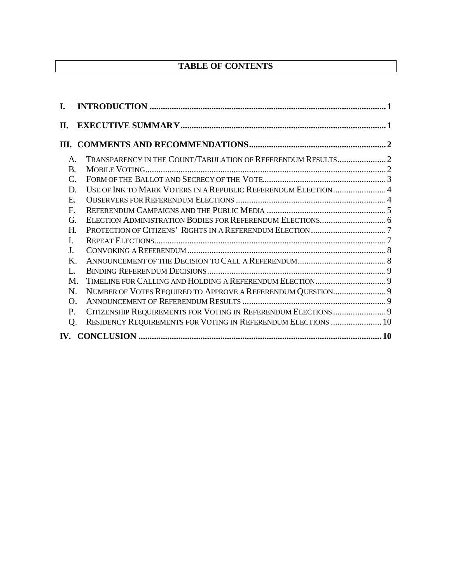# **TABLE OF CONTENTS**

| I.             |                                                                |  |
|----------------|----------------------------------------------------------------|--|
| П.             |                                                                |  |
|                |                                                                |  |
| $\mathsf{A}$ . |                                                                |  |
| <b>B.</b>      |                                                                |  |
| C.             |                                                                |  |
| D.             | USE OF INK TO MARK VOTERS IN A REPUBLIC REFERENDUM ELECTION 4  |  |
| Е.             |                                                                |  |
| F.             |                                                                |  |
| G.             |                                                                |  |
| Н.             |                                                                |  |
| $\mathbf{I}$   |                                                                |  |
| $J_{\cdot}$    |                                                                |  |
| $\mathbf{K}$   |                                                                |  |
| L.             |                                                                |  |
| M.             |                                                                |  |
| N.             | NUMBER OF VOTES REQUIRED TO APPROVE A REFERENDUM QUESTION 9    |  |
| $\Omega$ .     |                                                                |  |
| P.             | CITIZENSHIP REQUIREMENTS FOR VOTING IN REFERENDUM ELECTIONS  9 |  |
| Q.             | RESIDENCY REQUIREMENTS FOR VOTING IN REFERENDUM ELECTIONS  10  |  |
|                |                                                                |  |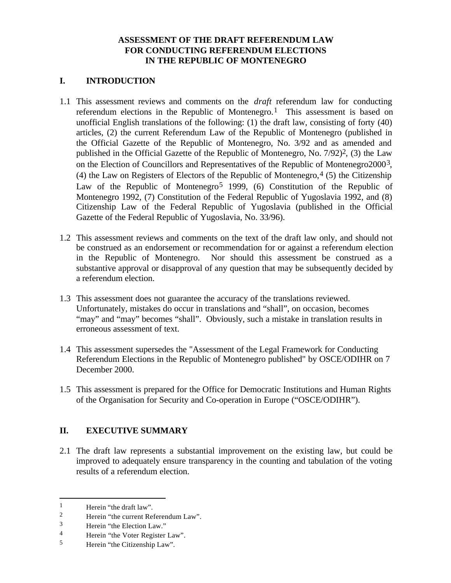# **ASSESSMENT OF THE DRAFT REFERENDUM LAW FOR CONDUCTING REFERENDUM ELECTIONS IN THE REPUBLIC OF MONTENEGRO**

# **I. INTRODUCTION**

- 1.1 This assessment reviews and comments on the *draft* referendum law for conducting referendum elections in the Republic of Montenegro.<sup>1</sup> This assessment is based on unofficial English translations of the following: (1) the draft law, consisting of forty (40) articles, (2) the current Referendum Law of the Republic of Montenegro (published in the Official Gazette of the Republic of Montenegro, No. 3/92 and as amended and published in the Official Gazette of the Republic of Montenegro, No.  $7/92$ <sup>2</sup>, (3) the Law on the Election of Councillors and Representatives of the Republic of Montenegro20003, (4) the Law on Registers of Electors of the Republic of Montenegro,  $4(5)$  the Citizenship Law of the Republic of Montenegro<sup>5</sup> 1999, (6) Constitution of the Republic of Montenegro 1992, (7) Constitution of the Federal Republic of Yugoslavia 1992, and (8) Citizenship Law of the Federal Republic of Yugoslavia (published in the Official Gazette of the Federal Republic of Yugoslavia, No. 33/96).
- 1.2 This assessment reviews and comments on the text of the draft law only, and should not be construed as an endorsement or recommendation for or against a referendum election in the Republic of Montenegro. Nor should this assessment be construed as a substantive approval or disapproval of any question that may be subsequently decided by a referendum election.
- 1.3 This assessment does not guarantee the accuracy of the translations reviewed. Unfortunately, mistakes do occur in translations and "shall", on occasion, becomes "may" and "may" becomes "shall". Obviously, such a mistake in translation results in erroneous assessment of text.
- 1.4 This assessment supersedes the "Assessment of the Legal Framework for Conducting Referendum Elections in the Republic of Montenegro published" by OSCE/ODIHR on 7 December 2000.
- 1.5 This assessment is prepared for the Office for Democratic Institutions and Human Rights of the Organisation for Security and Co-operation in Europe ("OSCE/ODIHR").

# **II. EXECUTIVE SUMMARY**

2.1 The draft law represents a substantial improvement on the existing law, but could be improved to adequately ensure transparency in the counting and tabulation of the voting results of a referendum election.

 $\overline{a}$ 

<sup>&</sup>lt;sup>1</sup> Herein "the draft law".

<sup>2</sup> Herein "the current Referendum Law".

 $\frac{3}{4}$  Herein "the Election Law."

<sup>&</sup>lt;sup>4</sup> Herein "the Voter Register Law".<br>
Herein "the Citizenshin Law".

Herein "the Citizenship Law".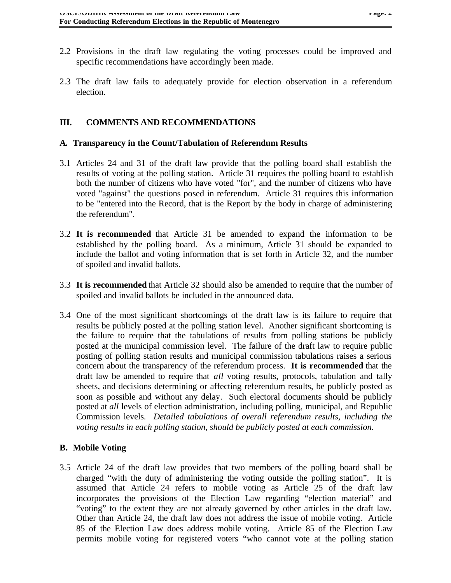- 2.2 Provisions in the draft law regulating the voting processes could be improved and specific recommendations have accordingly been made.
- 2.3 The draft law fails to adequately provide for election observation in a referendum election.

## **III. COMMENTS AND RECOMMENDATIONS**

#### **A. Transparency in the Count/Tabulation of Referendum Results**

- 3.1 Articles 24 and 31 of the draft law provide that the polling board shall establish the results of voting at the polling station. Article 31 requires the polling board to establish both the number of citizens who have voted "for", and the number of citizens who have voted "against" the questions posed in referendum. Article 31 requires this information to be "entered into the Record, that is the Report by the body in charge of administering the referendum".
- 3.2 **It is recommended** that Article 31 be amended to expand the information to be established by the polling board. As a minimum, Article 31 should be expanded to include the ballot and voting information that is set forth in Article 32, and the number of spoiled and invalid ballots.
- 3.3 **It is recommended** that Article 32 should also be amended to require that the number of spoiled and invalid ballots be included in the announced data.
- 3.4 One of the most significant shortcomings of the draft law is its failure to require that results be publicly posted at the polling station level. Another significant shortcoming is the failure to require that the tabulations of results from polling stations be publicly posted at the municipal commission level. The failure of the draft law to require public posting of polling station results and municipal commission tabulations raises a serious concern about the transparency of the referendum process. **It is recommended** that the draft law be amended to require that *all* voting results, protocols, tabulation and tally sheets, and decisions determining or affecting referendum results, be publicly posted as soon as possible and without any delay. Such electoral documents should be publicly posted at *all* levels of election administration, including polling, municipal, and Republic Commission levels. *Detailed tabulations of overall referendum results, including the voting results in each polling station, should be publicly posted at each commission.*

#### **B. Mobile Voting**

3.5 Article 24 of the draft law provides that two members of the polling board shall be charged "with the duty of administering the voting outside the polling station". It is assumed that Article 24 refers to mobile voting as Article 25 of the draft law incorporates the provisions of the Election Law regarding "election material" and "voting" to the extent they are not already governed by other articles in the draft law. Other than Article 24, the draft law does not address the issue of mobile voting. Article 85 of the Election Law does address mobile voting. Article 85 of the Election Law permits mobile voting for registered voters "who cannot vote at the polling station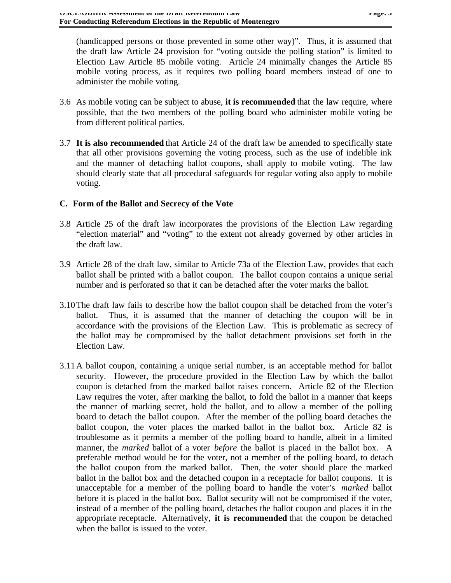(handicapped persons or those prevented in some other way)". Thus, it is assumed that the draft law Article 24 provision for "voting outside the polling station" is limited to Election Law Article 85 mobile voting. Article 24 minimally changes the Article 85 mobile voting process, as it requires two polling board members instead of one to administer the mobile voting.

- 3.6 As mobile voting can be subject to abuse, **it is recommended** that the law require, where possible, that the two members of the polling board who administer mobile voting be from different political parties.
- 3.7 **It is also recommended** that Article 24 of the draft law be amended to specifically state that all other provisions governing the voting process, such as the use of indelible ink and the manner of detaching ballot coupons, shall apply to mobile voting. The law should clearly state that all procedural safeguards for regular voting also apply to mobile voting.

# **C. Form of the Ballot and Secrecy of the Vote**

- 3.8 Article 25 of the draft law incorporates the provisions of the Election Law regarding "election material" and "voting" to the extent not already governed by other articles in the draft law.
- 3.9 Article 28 of the draft law, similar to Article 73a of the Election Law, provides that each ballot shall be printed with a ballot coupon. The ballot coupon contains a unique serial number and is perforated so that it can be detached after the voter marks the ballot.
- 3.10The draft law fails to describe how the ballot coupon shall be detached from the voter's ballot. Thus, it is assumed that the manner of detaching the coupon will be in accordance with the provisions of the Election Law. This is problematic as secrecy of the ballot may be compromised by the ballot detachment provisions set forth in the Election Law.
- 3.11A ballot coupon, containing a unique serial number, is an acceptable method for ballot security. However, the procedure provided in the Election Law by which the ballot coupon is detached from the marked ballot raises concern. Article 82 of the Election Law requires the voter, after marking the ballot, to fold the ballot in a manner that keeps the manner of marking secret, hold the ballot, and to allow a member of the polling board to detach the ballot coupon. After the member of the polling board detaches the ballot coupon, the voter places the marked ballot in the ballot box. Article 82 is troublesome as it permits a member of the polling board to handle, albeit in a limited manner, the *marked* ballot of a voter *before* the ballot is placed in the ballot box. A preferable method would be for the voter, not a member of the polling board, to detach the ballot coupon from the marked ballot. Then, the voter should place the marked ballot in the ballot box and the detached coupon in a receptacle for ballot coupons. It is unacceptable for a member of the polling board to handle the voter's *marked* ballot before it is placed in the ballot box. Ballot security will not be compromised if the voter, instead of a member of the polling board, detaches the ballot coupon and places it in the appropriate receptacle. Alternatively, **it is recommended** that the coupon be detached when the ballot is issued to the voter.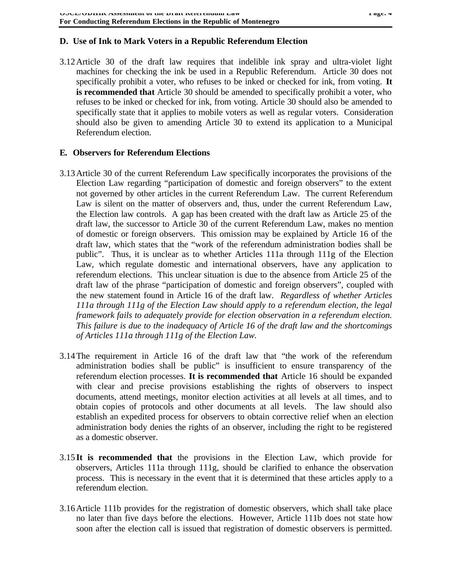### **D. Use of Ink to Mark Voters in a Republic Referendum Election**

3.12Article 30 of the draft law requires that indelible ink spray and ultra-violet light machines for checking the ink be used in a Republic Referendum. Article 30 does not specifically prohibit a voter, who refuses to be inked or checked for ink, from voting. **It is recommended that** Article 30 should be amended to specifically prohibit a voter, who refuses to be inked or checked for ink, from voting. Article 30 should also be amended to specifically state that it applies to mobile voters as well as regular voters. Consideration should also be given to amending Article 30 to extend its application to a Municipal Referendum election.

#### **E. Observers for Referendum Elections**

- 3.13Article 30 of the current Referendum Law specifically incorporates the provisions of the Election Law regarding "participation of domestic and foreign observers" to the extent not governed by other articles in the current Referendum Law. The current Referendum Law is silent on the matter of observers and, thus, under the current Referendum Law, the Election law controls. A gap has been created with the draft law as Article 25 of the draft law, the successor to Article 30 of the current Referendum Law, makes no mention of domestic or foreign observers. This omission may be explained by Article 16 of the draft law, which states that the "work of the referendum administration bodies shall be public". Thus, it is unclear as to whether Articles 111a through 111g of the Election Law, which regulate domestic and international observers, have any application to referendum elections. This unclear situation is due to the absence from Article 25 of the draft law of the phrase "participation of domestic and foreign observers", coupled with the new statement found in Article 16 of the draft law. *Regardless of whether Articles 111a through 111g of the Election Law should apply to a referendum election, the legal framework fails to adequately provide for election observation in a referendum election. This failure is due to the inadequacy of Article 16 of the draft law and the shortcomings of Articles 111a through 111g of the Election Law.*
- 3.14The requirement in Article 16 of the draft law that "the work of the referendum administration bodies shall be public" is insufficient to ensure transparency of the referendum election processes. **It is recommended that** Article 16 should be expanded with clear and precise provisions establishing the rights of observers to inspect documents, attend meetings, monitor election activities at all levels at all times, and to obtain copies of protocols and other documents at all levels. The law should also establish an expedited process for observers to obtain corrective relief when an election administration body denies the rights of an observer, including the right to be registered as a domestic observer.
- 3.15**It is recommended that** the provisions in the Election Law, which provide for observers, Articles 111a through 111g, should be clarified to enhance the observation process. This is necessary in the event that it is determined that these articles apply to a referendum election.
- 3.16Article 111b provides for the registration of domestic observers, which shall take place no later than five days before the elections. However, Article 111b does not state how soon after the election call is issued that registration of domestic observers is permitted.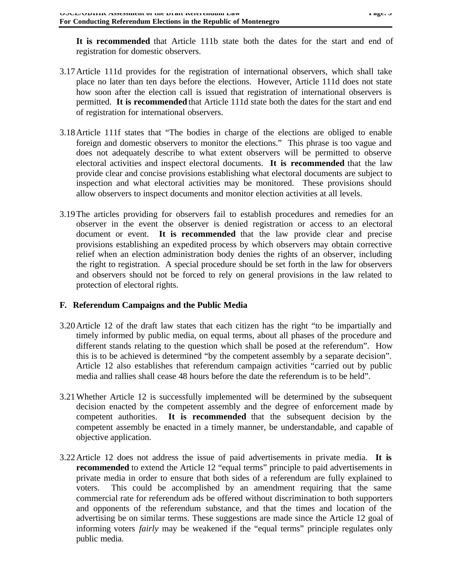1 agc. 3

**It is recommended** that Article 111b state both the dates for the start and end of registration for domestic observers.

- 3.17Article 111d provides for the registration of international observers, which shall take place no later than ten days before the elections. However, Article 111d does not state how soon after the election call is issued that registration of international observers is permitted. **It is recommended** that Article 111d state both the dates for the start and end of registration for international observers.
- 3.18Article 111f states that "The bodies in charge of the elections are obliged to enable foreign and domestic observers to monitor the elections." This phrase is too vague and does not adequately describe to what extent observers will be permitted to observe electoral activities and inspect electoral documents. **It is recommended** that the law provide clear and concise provisions establishing what electoral documents are subject to inspection and what electoral activities may be monitored. These provisions should allow observers to inspect documents and monitor election activities at all levels.
- 3.19The articles providing for observers fail to establish procedures and remedies for an observer in the event the observer is denied registration or access to an electoral document or event. **It is recommended** that the law provide clear and precise provisions establishing an expedited process by which observers may obtain corrective relief when an election administration body denies the rights of an observer, including the right to registration. A special procedure should be set forth in the law for observers and observers should not be forced to rely on general provisions in the law related to protection of electoral rights.

# **F. Referendum Campaigns and the Public Media**

- 3.20Article 12 of the draft law states that each citizen has the right "to be impartially and timely informed by public media, on equal terms, about all phases of the procedure and different stands relating to the question which shall be posed at the referendum". How this is to be achieved is determined "by the competent assembly by a separate decision". Article 12 also establishes that referendum campaign activities "carried out by public media and rallies shall cease 48 hours before the date the referendum is to be held".
- 3.21Whether Article 12 is successfully implemented will be determined by the subsequent decision enacted by the competent assembly and the degree of enforcement made by competent authorities. **It is recommended** that the subsequent decision by the competent assembly be enacted in a timely manner, be understandable, and capable of objective application.
- 3.22Article 12 does not address the issue of paid advertisements in private media. **It is recommended** to extend the Article 12 "equal terms" principle to paid advertisements in private media in order to ensure that both sides of a referendum are fully explained to voters. This could be accomplished by an amendment requiring that the same commercial rate for referendum ads be offered without discrimination to both supporters and opponents of the referendum substance, and that the times and location of the advertising be on similar terms. These suggestions are made since the Article 12 goal of informing voters *fairly* may be weakened if the "equal terms" principle regulates only public media.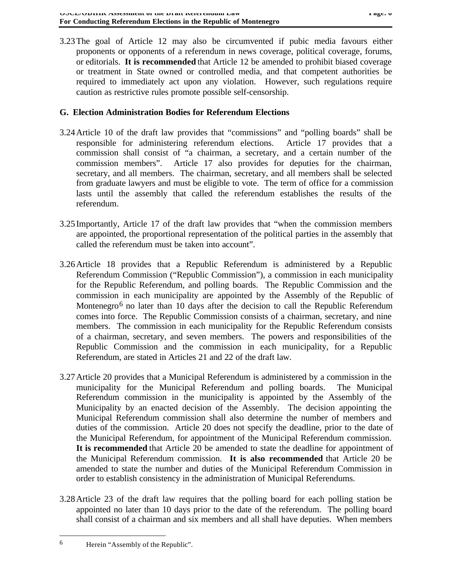3.23The goal of Article 12 may also be circumvented if pubic media favours either proponents or opponents of a referendum in news coverage, political coverage, forums, or editorials. **It is recommended** that Article 12 be amended to prohibit biased coverage or treatment in State owned or controlled media, and that competent authorities be required to immediately act upon any violation. However, such regulations require caution as restrictive rules promote possible self-censorship.

# **G. Election Administration Bodies for Referendum Elections**

- 3.24Article 10 of the draft law provides that "commissions" and "polling boards" shall be responsible for administering referendum elections. Article 17 provides that a commission shall consist of "a chairman, a secretary, and a certain number of the commission members". Article 17 also provides for deputies for the chairman, secretary, and all members. The chairman, secretary, and all members shall be selected from graduate lawyers and must be eligible to vote. The term of office for a commission lasts until the assembly that called the referendum establishes the results of the referendum.
- 3.25Importantly, Article 17 of the draft law provides that "when the commission members are appointed, the proportional representation of the political parties in the assembly that called the referendum must be taken into account".
- 3.26Article 18 provides that a Republic Referendum is administered by a Republic Referendum Commission ("Republic Commission"), a commission in each municipality for the Republic Referendum, and polling boards. The Republic Commission and the commission in each municipality are appointed by the Assembly of the Republic of Montenegro<sup>6</sup> no later than 10 days after the decision to call the Republic Referendum comes into force. The Republic Commission consists of a chairman, secretary, and nine members. The commission in each municipality for the Republic Referendum consists of a chairman, secretary, and seven members. The powers and responsibilities of the Republic Commission and the commission in each municipality, for a Republic Referendum, are stated in Articles 21 and 22 of the draft law.
- 3.27Article 20 provides that a Municipal Referendum is administered by a commission in the municipality for the Municipal Referendum and polling boards. The Municipal Referendum commission in the municipality is appointed by the Assembly of the Municipality by an enacted decision of the Assembly. The decision appointing the Municipal Referendum commission shall also determine the number of members and duties of the commission. Article 20 does not specify the deadline, prior to the date of the Municipal Referendum, for appointment of the Municipal Referendum commission. **It is recommended** that Article 20 be amended to state the deadline for appointment of the Municipal Referendum commission. **It is also recommended** that Article 20 be amended to state the number and duties of the Municipal Referendum Commission in order to establish consistency in the administration of Municipal Referendums.
- 3.28Article 23 of the draft law requires that the polling board for each polling station be appointed no later than 10 days prior to the date of the referendum. The polling board shall consist of a chairman and six members and all shall have deputies. When members

 $\overline{a}$ 

<sup>6</sup> Herein "Assembly of the Republic".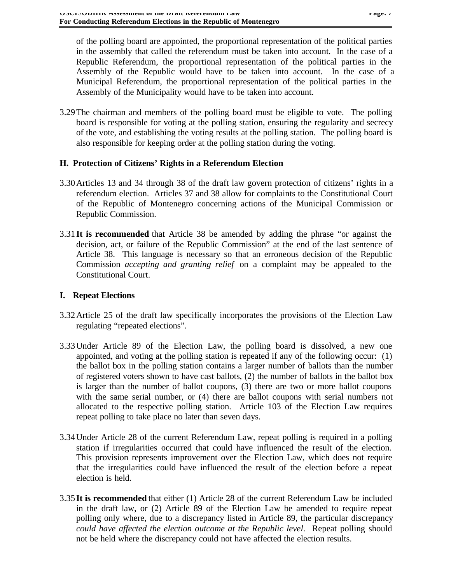of the polling board are appointed, the proportional representation of the political parties in the assembly that called the referendum must be taken into account. In the case of a Republic Referendum, the proportional representation of the political parties in the Assembly of the Republic would have to be taken into account. In the case of a Municipal Referendum, the proportional representation of the political parties in the Assembly of the Municipality would have to be taken into account.

3.29The chairman and members of the polling board must be eligible to vote. The polling board is responsible for voting at the polling station, ensuring the regularity and secrecy of the vote, and establishing the voting results at the polling station. The polling board is also responsible for keeping order at the polling station during the voting.

#### **H. Protection of Citizens' Rights in a Referendum Election**

- 3.30Articles 13 and 34 through 38 of the draft law govern protection of citizens' rights in a referendum election. Articles 37 and 38 allow for complaints to the Constitutional Court of the Republic of Montenegro concerning actions of the Municipal Commission or Republic Commission.
- 3.31**It is recommended** that Article 38 be amended by adding the phrase "or against the decision, act, or failure of the Republic Commission" at the end of the last sentence of Article 38. This language is necessary so that an erroneous decision of the Republic Commission *accepting and granting relief* on a complaint may be appealed to the Constitutional Court.

### **I. Repeat Elections**

- 3.32Article 25 of the draft law specifically incorporates the provisions of the Election Law regulating "repeated elections".
- 3.33Under Article 89 of the Election Law, the polling board is dissolved, a new one appointed, and voting at the polling station is repeated if any of the following occur: (1) the ballot box in the polling station contains a larger number of ballots than the number of registered voters shown to have cast ballots, (2) the number of ballots in the ballot box is larger than the number of ballot coupons, (3) there are two or more ballot coupons with the same serial number, or (4) there are ballot coupons with serial numbers not allocated to the respective polling station. Article 103 of the Election Law requires repeat polling to take place no later than seven days.
- 3.34Under Article 28 of the current Referendum Law, repeat polling is required in a polling station if irregularities occurred that could have influenced the result of the election. This provision represents improvement over the Election Law, which does not require that the irregularities could have influenced the result of the election before a repeat election is held.
- 3.35**It is recommended** that either (1) Article 28 of the current Referendum Law be included in the draft law, or (2) Article 89 of the Election Law be amended to require repeat polling only where, due to a discrepancy listed in Article 89, the particular discrepancy *could have affected the election outcome at the Republic level*. Repeat polling should not be held where the discrepancy could not have affected the election results.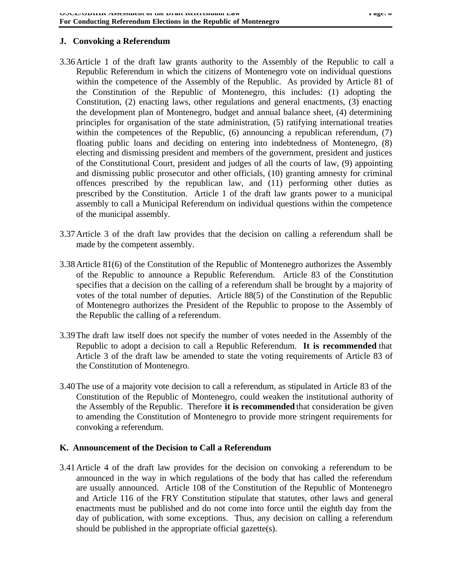# **J. Convoking a Referendum**

- 3.36Article 1 of the draft law grants authority to the Assembly of the Republic to call a Republic Referendum in which the citizens of Montenegro vote on individual questions within the competence of the Assembly of the Republic. As provided by Article 81 of the Constitution of the Republic of Montenegro, this includes: (1) adopting the Constitution, (2) enacting laws, other regulations and general enactments, (3) enacting the development plan of Montenegro, budget and annual balance sheet, (4) determining principles for organisation of the state administration, (5) ratifying international treaties within the competences of the Republic, (6) announcing a republican referendum, (7) floating public loans and deciding on entering into indebtedness of Montenegro, (8) electing and dismissing president and members of the government, president and justices of the Constitutional Court, president and judges of all the courts of law, (9) appointing and dismissing public prosecutor and other officials, (10) granting amnesty for criminal offences prescribed by the republican law, and (11) performing other duties as prescribed by the Constitution. Article 1 of the draft law grants power to a municipal assembly to call a Municipal Referendum on individual questions within the competence of the municipal assembly.
- 3.37Article 3 of the draft law provides that the decision on calling a referendum shall be made by the competent assembly.
- 3.38Article 81(6) of the Constitution of the Republic of Montenegro authorizes the Assembly of the Republic to announce a Republic Referendum. Article 83 of the Constitution specifies that a decision on the calling of a referendum shall be brought by a majority of votes of the total number of deputies. Article 88(5) of the Constitution of the Republic of Montenegro authorizes the President of the Republic to propose to the Assembly of the Republic the calling of a referendum.
- 3.39The draft law itself does not specify the number of votes needed in the Assembly of the Republic to adopt a decision to call a Republic Referendum. **It is recommended** that Article 3 of the draft law be amended to state the voting requirements of Article 83 of the Constitution of Montenegro.
- 3.40The use of a majority vote decision to call a referendum, as stipulated in Article 83 of the Constitution of the Republic of Montenegro, could weaken the institutional authority of the Assembly of the Republic. Therefore **it is recommended** that consideration be given to amending the Constitution of Montenegro to provide more stringent requirements for convoking a referendum.

#### **K. Announcement of the Decision to Call a Referendum**

3.41Article 4 of the draft law provides for the decision on convoking a referendum to be announced in the way in which regulations of the body that has called the referendum are usually announced. Article 108 of the Constitution of the Republic of Montenegro and Article 116 of the FRY Constitution stipulate that statutes, other laws and general enactments must be published and do not come into force until the eighth day from the day of publication, with some exceptions. Thus, any decision on calling a referendum should be published in the appropriate official gazette(s).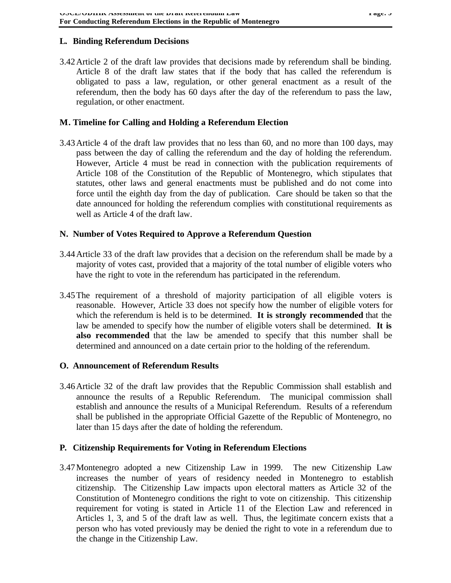# **L. Binding Referendum Decisions**

3.42Article 2 of the draft law provides that decisions made by referendum shall be binding. Article 8 of the draft law states that if the body that has called the referendum is obligated to pass a law, regulation, or other general enactment as a result of the referendum, then the body has 60 days after the day of the referendum to pass the law, regulation, or other enactment.

#### **M. Timeline for Calling and Holding a Referendum Election**

3.43Article 4 of the draft law provides that no less than 60, and no more than 100 days, may pass between the day of calling the referendum and the day of holding the referendum. However, Article 4 must be read in connection with the publication requirements of Article 108 of the Constitution of the Republic of Montenegro, which stipulates that statutes, other laws and general enactments must be published and do not come into force until the eighth day from the day of publication. Care should be taken so that the date announced for holding the referendum complies with constitutional requirements as well as Article 4 of the draft law.

#### **N. Number of Votes Required to Approve a Referendum Question**

- 3.44Article 33 of the draft law provides that a decision on the referendum shall be made by a majority of votes cast, provided that a majority of the total number of eligible voters who have the right to vote in the referendum has participated in the referendum.
- 3.45The requirement of a threshold of majority participation of all eligible voters is reasonable. However, Article 33 does not specify how the number of eligible voters for which the referendum is held is to be determined. **It is strongly recommended** that the law be amended to specify how the number of eligible voters shall be determined. **It is also recommended** that the law be amended to specify that this number shall be determined and announced on a date certain prior to the holding of the referendum.

#### **O. Announcement of Referendum Results**

3.46Article 32 of the draft law provides that the Republic Commission shall establish and announce the results of a Republic Referendum. The municipal commission shall establish and announce the results of a Municipal Referendum. Results of a referendum shall be published in the appropriate Official Gazette of the Republic of Montenegro, no later than 15 days after the date of holding the referendum.

#### **P. Citizenship Requirements for Voting in Referendum Elections**

3.47Montenegro adopted a new Citizenship Law in 1999. The new Citizenship Law increases the number of years of residency needed in Montenegro to establish citizenship. The Citizenship Law impacts upon electoral matters as Article 32 of the Constitution of Montenegro conditions the right to vote on citizenship. This citizenship requirement for voting is stated in Article 11 of the Election Law and referenced in Articles 1, 3, and 5 of the draft law as well. Thus, the legitimate concern exists that a person who has voted previously may be denied the right to vote in a referendum due to the change in the Citizenship Law.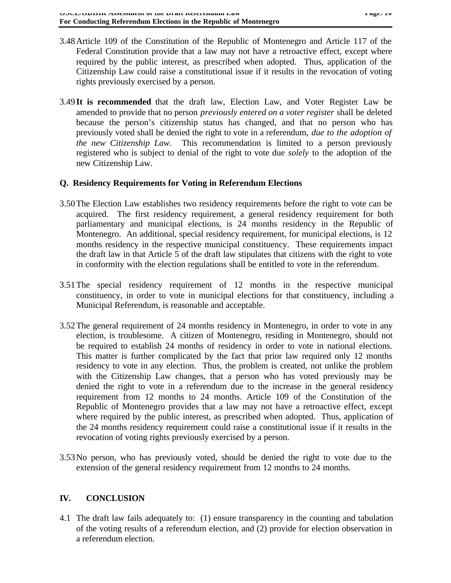- 3.48Article 109 of the Constitution of the Republic of Montenegro and Article 117 of the Federal Constitution provide that a law may not have a retroactive effect, except where required by the public interest, as prescribed when adopted. Thus, application of the Citizenship Law could raise a constitutional issue if it results in the revocation of voting rights previously exercised by a person.
- 3.49**It is recommended** that the draft law, Election Law, and Voter Register Law be amended to provide that no person *previously entered on a voter register* shall be deleted because the person's citizenship status has changed, and that no person who has previously voted shall be denied the right to vote in a referendum, *due to the adoption of the new Citizenship Law*. This recommendation is limited to a person previously registered who is subject to denial of the right to vote due *solely* to the adoption of the new Citizenship Law.

## **Q. Residency Requirements for Voting in Referendum Elections**

- 3.50The Election Law establishes two residency requirements before the right to vote can be acquired. The first residency requirement, a general residency requirement for both parliamentary and municipal elections, is 24 months residency in the Republic of Montenegro. An additional, special residency requirement, for municipal elections, is 12 months residency in the respective municipal constituency. These requirements impact the draft law in that Article 5 of the draft law stipulates that citizens with the right to vote in conformity with the election regulations shall be entitled to vote in the referendum.
- 3.51The special residency requirement of 12 months in the respective municipal constituency, in order to vote in municipal elections for that constituency, including a Municipal Referendum, is reasonable and acceptable.
- 3.52The general requirement of 24 months residency in Montenegro, in order to vote in any election, is troublesome. A citizen of Montenegro, residing in Montenegro, should not be required to establish 24 months of residency in order to vote in national elections. This matter is further complicated by the fact that prior law required only 12 months residency to vote in any election. Thus, the problem is created, not unlike the problem with the Citizenship Law changes, that a person who has voted previously may be denied the right to vote in a referendum due to the increase in the general residency requirement from 12 months to 24 months. Article 109 of the Constitution of the Republic of Montenegro provides that a law may not have a retroactive effect, except where required by the public interest, as prescribed when adopted. Thus, application of the 24 months residency requirement could raise a constitutional issue if it results in the revocation of voting rights previously exercised by a person.
- 3.53No person, who has previously voted, should be denied the right to vote due to the extension of the general residency requirement from 12 months to 24 months.

# **IV. CONCLUSION**

4.1 The draft law fails adequately to: (1) ensure transparency in the counting and tabulation of the voting results of a referendum election, and (2) provide for election observation in a referendum election.